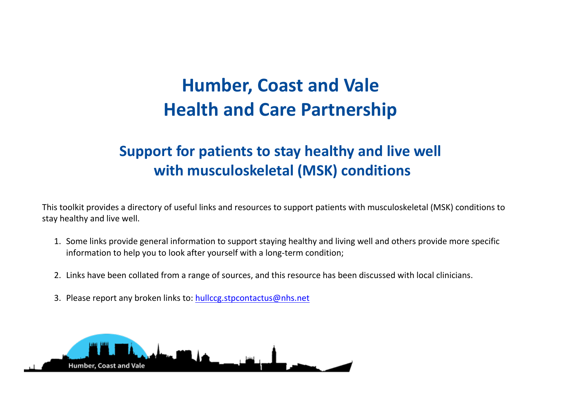## **Humber, Coast and Vale Health and Care Partnership**

## **Support for patients to stay healthy and live well with musculoskeletal (MSK) conditions**

This toolkit provides a directory of useful links and resources to support patients with musculoskeletal (MSK) conditions to stay healthy and live well.

- 1. Some links provide general information to support staying healthy and living well and others provide more specific information to help you to look after yourself with a long-term condition;
- 2. Links have been collated from a range of sources, and this resource has been discussed with local clinicians.
- 3. Please report any broken links to: [hullccg.stpcontactus@nhs.net](mailto:hullccg.stpcontactus@nhs.net)

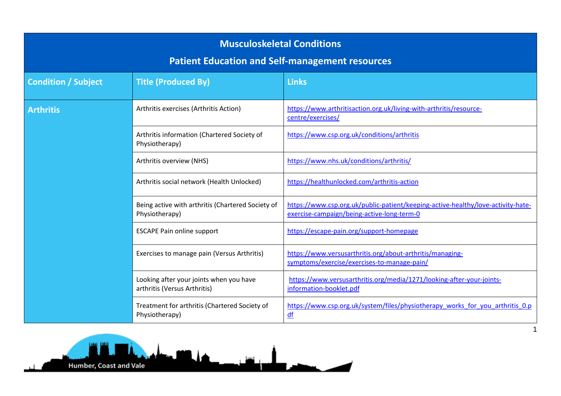| <b>Musculoskeletal Conditions</b><br><b>Patient Education and Self-management resources</b> |                                                                         |                                                                                                                                |
|---------------------------------------------------------------------------------------------|-------------------------------------------------------------------------|--------------------------------------------------------------------------------------------------------------------------------|
| <b>Condition / Subject</b>                                                                  | <b>Title (Produced By)</b>                                              | <b>Links</b>                                                                                                                   |
| <b>Arthritis</b>                                                                            | Arthritis exercises (Arthritis Action)                                  | https://www.arthritisaction.org.uk/living-with-arthritis/resource-<br>centre/exercises/                                        |
|                                                                                             | Arthritis information (Chartered Society of<br>Physiotherapy)           | https://www.csp.org.uk/conditions/arthritis                                                                                    |
|                                                                                             | Arthritis overview (NHS)                                                | https://www.nhs.uk/conditions/arthritis/                                                                                       |
|                                                                                             | Arthritis social network (Health Unlocked)                              | https://healthunlocked.com/arthritis-action                                                                                    |
|                                                                                             | Being active with arthritis (Chartered Society of<br>Physiotherapy)     | https://www.csp.org.uk/public-patient/keeping-active-healthy/love-activity-hate-<br>exercise-campaign/being-active-long-term-0 |
|                                                                                             | <b>ESCAPE Pain online support</b>                                       | https://escape-pain.org/support-homepage                                                                                       |
|                                                                                             | Exercises to manage pain (Versus Arthritis)                             | https://www.versusarthritis.org/about-arthritis/managing-<br>symptoms/exercise/exercises-to-manage-pain/                       |
|                                                                                             | Looking after your joints when you have<br>arthritis (Versus Arthritis) | https://www.versusarthritis.org/media/1271/looking-after-your-joints-<br>information-booklet.pdf                               |
|                                                                                             | Treatment for arthritis (Chartered Society of<br>Physiotherapy)         | https://www.csp.org.uk/system/files/physiotherapy works for you arthritis 0.p<br>df                                            |

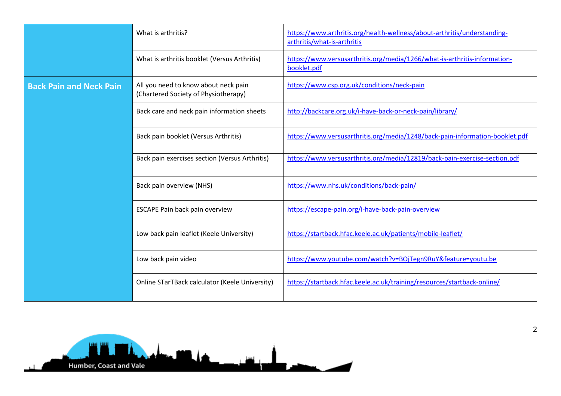|                                | What is arthritis?                                                           | https://www.arthritis.org/health-wellness/about-arthritis/understanding-<br>arthritis/what-is-arthritis |
|--------------------------------|------------------------------------------------------------------------------|---------------------------------------------------------------------------------------------------------|
|                                | What is arthritis booklet (Versus Arthritis)                                 | https://www.versusarthritis.org/media/1266/what-is-arthritis-information-<br>booklet.pdf                |
| <b>Back Pain and Neck Pain</b> | All you need to know about neck pain<br>(Chartered Society of Physiotherapy) | https://www.csp.org.uk/conditions/neck-pain                                                             |
|                                | Back care and neck pain information sheets                                   | http://backcare.org.uk/i-have-back-or-neck-pain/library/                                                |
|                                | Back pain booklet (Versus Arthritis)                                         | https://www.versusarthritis.org/media/1248/back-pain-information-booklet.pdf                            |
|                                | Back pain exercises section (Versus Arthritis)                               | https://www.versusarthritis.org/media/12819/back-pain-exercise-section.pdf                              |
|                                | Back pain overview (NHS)                                                     | https://www.nhs.uk/conditions/back-pain/                                                                |
|                                | <b>ESCAPE Pain back pain overview</b>                                        | https://escape-pain.org/i-have-back-pain-overview                                                       |
|                                | Low back pain leaflet (Keele University)                                     | https://startback.hfac.keele.ac.uk/patients/mobile-leaflet/                                             |
|                                | Low back pain video                                                          | https://www.youtube.com/watch?v=BOjTegn9RuY&feature=youtu.be                                            |
|                                | <b>Online STarTBack calculator (Keele University)</b>                        | https://startback.hfac.keele.ac.uk/training/resources/startback-online/                                 |

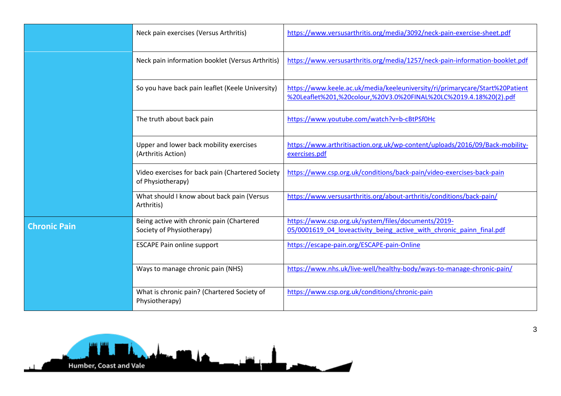|                     | Neck pain exercises (Versus Arthritis)                                 | https://www.versusarthritis.org/media/3092/neck-pain-exercise-sheet.pdf                                                                           |
|---------------------|------------------------------------------------------------------------|---------------------------------------------------------------------------------------------------------------------------------------------------|
|                     | Neck pain information booklet (Versus Arthritis)                       | https://www.versusarthritis.org/media/1257/neck-pain-information-booklet.pdf                                                                      |
|                     | So you have back pain leaflet (Keele University)                       | https://www.keele.ac.uk/media/keeleuniversity/ri/primarycare/Start%20Patient<br>%20Leaflet%201,%20colour,%20V3.0%20FINAL%20LC%2019.4.18%20(2).pdf |
|                     | The truth about back pain                                              | https://www.youtube.com/watch?v=b-cBtPSf0Hc                                                                                                       |
|                     | Upper and lower back mobility exercises<br>(Arthritis Action)          | https://www.arthritisaction.org.uk/wp-content/uploads/2016/09/Back-mobility-<br>exercises.pdf                                                     |
|                     | Video exercises for back pain (Chartered Society<br>of Physiotherapy)  | https://www.csp.org.uk/conditions/back-pain/video-exercises-back-pain                                                                             |
|                     | What should I know about back pain (Versus<br>Arthritis)               | https://www.versusarthritis.org/about-arthritis/conditions/back-pain/                                                                             |
| <b>Chronic Pain</b> | Being active with chronic pain (Chartered<br>Society of Physiotherapy) | https://www.csp.org.uk/system/files/documents/2019-<br>05/0001619 04 loveactivity being active with chronic painn final.pdf                       |
|                     | <b>ESCAPE Pain online support</b>                                      | https://escape-pain.org/ESCAPE-pain-Online                                                                                                        |
|                     | Ways to manage chronic pain (NHS)                                      | https://www.nhs.uk/live-well/healthy-body/ways-to-manage-chronic-pain/                                                                            |
|                     | What is chronic pain? (Chartered Society of<br>Physiotherapy)          | https://www.csp.org.uk/conditions/chronic-pain                                                                                                    |

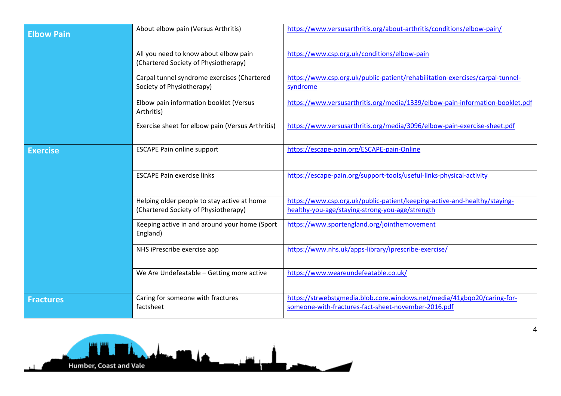| <b>Elbow Pain</b> | About elbow pain (Versus Arthritis)                                                 | https://www.versusarthritis.org/about-arthritis/conditions/elbow-pain/                                                         |
|-------------------|-------------------------------------------------------------------------------------|--------------------------------------------------------------------------------------------------------------------------------|
|                   | All you need to know about elbow pain<br>(Chartered Society of Physiotherapy)       | https://www.csp.org.uk/conditions/elbow-pain                                                                                   |
|                   | Carpal tunnel syndrome exercises (Chartered<br>Society of Physiotherapy)            | https://www.csp.org.uk/public-patient/rehabilitation-exercises/carpal-tunnel-<br>syndrome                                      |
|                   | Elbow pain information booklet (Versus<br>Arthritis)                                | https://www.versusarthritis.org/media/1339/elbow-pain-information-booklet.pdf                                                  |
|                   | Exercise sheet for elbow pain (Versus Arthritis)                                    | https://www.versusarthritis.org/media/3096/elbow-pain-exercise-sheet.pdf                                                       |
| <b>Exercise</b>   | <b>ESCAPE Pain online support</b>                                                   | https://escape-pain.org/ESCAPE-pain-Online                                                                                     |
|                   | <b>ESCAPE Pain exercise links</b>                                                   | https://escape-pain.org/support-tools/useful-links-physical-activity                                                           |
|                   | Helping older people to stay active at home<br>(Chartered Society of Physiotherapy) | https://www.csp.org.uk/public-patient/keeping-active-and-healthy/staying-<br>healthy-you-age/staying-strong-you-age/strength   |
|                   | Keeping active in and around your home (Sport<br>England)                           | https://www.sportengland.org/jointhemovement                                                                                   |
|                   | NHS iPrescribe exercise app                                                         | https://www.nhs.uk/apps-library/iprescribe-exercise/                                                                           |
|                   | We Are Undefeatable - Getting more active                                           | https://www.weareundefeatable.co.uk/                                                                                           |
| <b>Fractures</b>  | Caring for someone with fractures<br>factsheet                                      | https://strwebstgmedia.blob.core.windows.net/media/41gbqo20/caring-for-<br>someone-with-fractures-fact-sheet-november-2016.pdf |



4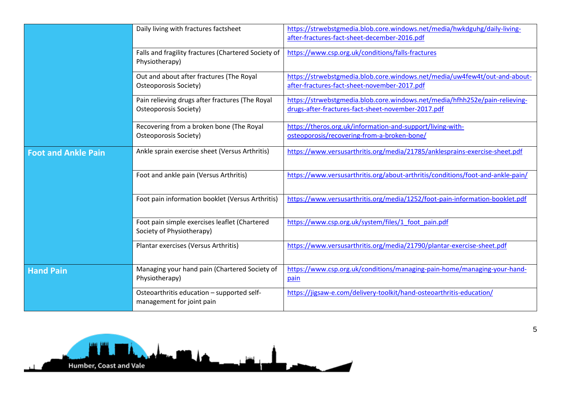|                            | Daily living with fractures factsheet                                      | https://strwebstgmedia.blob.core.windows.net/media/hwkdguhg/daily-living-<br>after-fractures-fact-sheet-december-2016.pdf         |
|----------------------------|----------------------------------------------------------------------------|-----------------------------------------------------------------------------------------------------------------------------------|
|                            | Falls and fragility fractures (Chartered Society of<br>Physiotherapy)      | https://www.csp.org.uk/conditions/falls-fractures                                                                                 |
|                            | Out and about after fractures (The Royal<br>Osteoporosis Society)          | https://strwebstgmedia.blob.core.windows.net/media/uw4few4t/out-and-about-<br>after-fractures-fact-sheet-november-2017.pdf        |
|                            | Pain relieving drugs after fractures (The Royal<br>Osteoporosis Society)   | https://strwebstgmedia.blob.core.windows.net/media/hfhh252e/pain-relieving-<br>drugs-after-fractures-fact-sheet-november-2017.pdf |
|                            | Recovering from a broken bone (The Royal<br>Osteoporosis Society)          | https://theros.org.uk/information-and-support/living-with-<br>osteoporosis/recovering-from-a-broken-bone/                         |
| <b>Foot and Ankle Pain</b> | Ankle sprain exercise sheet (Versus Arthritis)                             | https://www.versusarthritis.org/media/21785/anklesprains-exercise-sheet.pdf                                                       |
|                            | Foot and ankle pain (Versus Arthritis)                                     | https://www.versusarthritis.org/about-arthritis/conditions/foot-and-ankle-pain/                                                   |
|                            | Foot pain information booklet (Versus Arthritis)                           | https://www.versusarthritis.org/media/1252/foot-pain-information-booklet.pdf                                                      |
|                            | Foot pain simple exercises leaflet (Chartered<br>Society of Physiotherapy) | https://www.csp.org.uk/system/files/1 foot pain.pdf                                                                               |
|                            | Plantar exercises (Versus Arthritis)                                       | https://www.versusarthritis.org/media/21790/plantar-exercise-sheet.pdf                                                            |
| <b>Hand Pain</b>           | Managing your hand pain (Chartered Society of<br>Physiotherapy)            | https://www.csp.org.uk/conditions/managing-pain-home/managing-your-hand-<br>pain                                                  |
|                            | Osteoarthritis education - supported self-<br>management for joint pain    | https://jigsaw-e.com/delivery-toolkit/hand-osteoarthritis-education/                                                              |

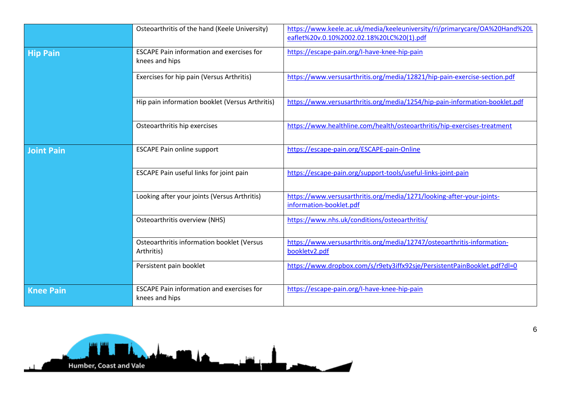|                   | Osteoarthritis of the hand (Keele University)                      | https://www.keele.ac.uk/media/keeleuniversity/ri/primarycare/OA%20Hand%20L<br>eaflet%20v.0.10%2002.02.18%20LC%20(1).pdf |
|-------------------|--------------------------------------------------------------------|-------------------------------------------------------------------------------------------------------------------------|
| <b>Hip Pain</b>   | <b>ESCAPE Pain information and exercises for</b><br>knees and hips | https://escape-pain.org/I-have-knee-hip-pain                                                                            |
|                   | Exercises for hip pain (Versus Arthritis)                          | https://www.versusarthritis.org/media/12821/hip-pain-exercise-section.pdf                                               |
|                   | Hip pain information booklet (Versus Arthritis)                    | https://www.versusarthritis.org/media/1254/hip-pain-information-booklet.pdf                                             |
|                   | Osteoarthritis hip exercises                                       | https://www.healthline.com/health/osteoarthritis/hip-exercises-treatment                                                |
| <b>Joint Pain</b> | <b>ESCAPE Pain online support</b>                                  | https://escape-pain.org/ESCAPE-pain-Online                                                                              |
|                   | ESCAPE Pain useful links for joint pain                            | https://escape-pain.org/support-tools/useful-links-joint-pain                                                           |
|                   | Looking after your joints (Versus Arthritis)                       | https://www.versusarthritis.org/media/1271/looking-after-your-joints-<br>information-booklet.pdf                        |
|                   | Osteoarthritis overview (NHS)                                      | https://www.nhs.uk/conditions/osteoarthritis/                                                                           |
|                   | Osteoarthritis information booklet (Versus<br>Arthritis)           | https://www.versusarthritis.org/media/12747/osteoarthritis-information-<br>bookletv2.pdf                                |
|                   | Persistent pain booklet                                            | https://www.dropbox.com/s/r9ety3iffx92sje/PersistentPainBooklet.pdf?dl=0                                                |
| <b>Knee Pain</b>  | <b>ESCAPE Pain information and exercises for</b><br>knees and hips | https://escape-pain.org/I-have-knee-hip-pain                                                                            |

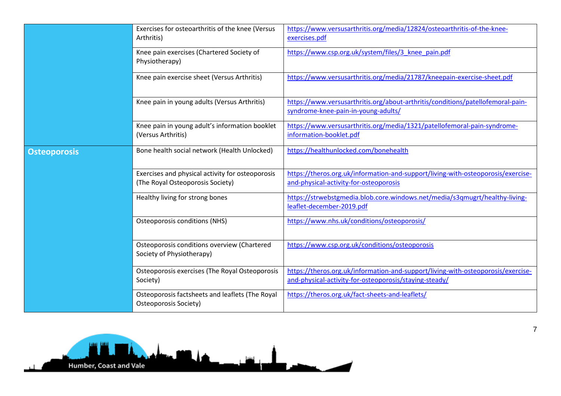|                     | Exercises for osteoarthritis of the knee (Versus<br>Arthritis)                       | https://www.versusarthritis.org/media/12824/osteoarthritis-of-the-knee-<br>exercises.pdf                                                   |
|---------------------|--------------------------------------------------------------------------------------|--------------------------------------------------------------------------------------------------------------------------------------------|
|                     | Knee pain exercises (Chartered Society of<br>Physiotherapy)                          | https://www.csp.org.uk/system/files/3 knee pain.pdf                                                                                        |
|                     | Knee pain exercise sheet (Versus Arthritis)                                          | https://www.versusarthritis.org/media/21787/kneepain-exercise-sheet.pdf                                                                    |
|                     | Knee pain in young adults (Versus Arthritis)                                         | https://www.versusarthritis.org/about-arthritis/conditions/patellofemoral-pain-<br>syndrome-knee-pain-in-young-adults/                     |
|                     | Knee pain in young adult's information booklet<br>(Versus Arthritis)                 | https://www.versusarthritis.org/media/1321/patellofemoral-pain-syndrome-<br>information-booklet.pdf                                        |
| <b>Osteoporosis</b> | Bone health social network (Health Unlocked)                                         | https://healthunlocked.com/bonehealth                                                                                                      |
|                     | Exercises and physical activity for osteoporosis<br>(The Royal Osteoporosis Society) | https://theros.org.uk/information-and-support/living-with-osteoporosis/exercise-<br>and-physical-activity-for-osteoporosis                 |
|                     | Healthy living for strong bones                                                      | https://strwebstgmedia.blob.core.windows.net/media/s3qmugrt/healthy-living-<br>leaflet-december-2019.pdf                                   |
|                     | <b>Osteoporosis conditions (NHS)</b>                                                 | https://www.nhs.uk/conditions/osteoporosis/                                                                                                |
|                     | Osteoporosis conditions overview (Chartered<br>Society of Physiotherapy)             | https://www.csp.org.uk/conditions/osteoporosis                                                                                             |
|                     | Osteoporosis exercises (The Royal Osteoporosis<br>Society)                           | https://theros.org.uk/information-and-support/living-with-osteoporosis/exercise-<br>and-physical-activity-for-osteoporosis/staying-steady/ |
|                     | Osteoporosis factsheets and leaflets (The Royal<br>Osteoporosis Society)             | https://theros.org.uk/fact-sheets-and-leaflets/                                                                                            |



7